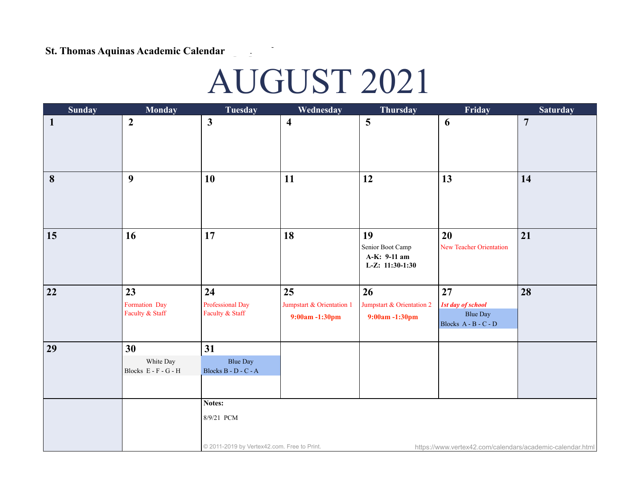## St. Thomas Aquinas Academic Calendar - proposed **.**

## AUGUST 2021

| <b>Sunday</b> | <b>Monday</b>                           | <b>Tuesday</b>                                                      | Wednesday                                        | <b>Thursday</b>                                             | Friday                                                                    | <b>Saturday</b> |
|---------------|-----------------------------------------|---------------------------------------------------------------------|--------------------------------------------------|-------------------------------------------------------------|---------------------------------------------------------------------------|-----------------|
| $\mathbf{1}$  | $\boldsymbol{2}$                        | $\mathbf{3}$                                                        | $\overline{\mathbf{4}}$                          | 5                                                           | 6                                                                         | $\overline{7}$  |
| 8             | $\boldsymbol{9}$                        | 10                                                                  | 11                                               | 12                                                          | 13                                                                        | 14              |
| 15            | 16                                      | 17                                                                  | 18                                               | 19<br>Senior Boot Camp<br>A-K: 9-11 am<br>L-Z: $11:30-1:30$ | 20<br><b>New Teacher Orientation</b>                                      | 21              |
| 22            | 23<br>Formation Day<br>Faculty & Staff  | 24<br>Professional Day<br>Faculty & Staff                           | 25<br>Jumpstart & Orientation 1<br>9:00am-1:30pm | 26<br>Jumpstart & Orientation 2<br>9:00am-1:30pm            | 27<br><b>1st day of school</b><br><b>Blue Day</b><br>Blocks A - B - C - D | 28              |
| 29            | 30<br>White Day<br>Blocks E - F - G - H | 31<br><b>Blue Day</b><br>Blocks B - D - C - A                       |                                                  |                                                             |                                                                           |                 |
|               |                                         | Notes:<br>8/9/21 PCM<br>© 2011-2019 by Vertex42.com. Free to Print. |                                                  |                                                             | https://www.vertex42.com/calendars/academic-calendar.html                 |                 |